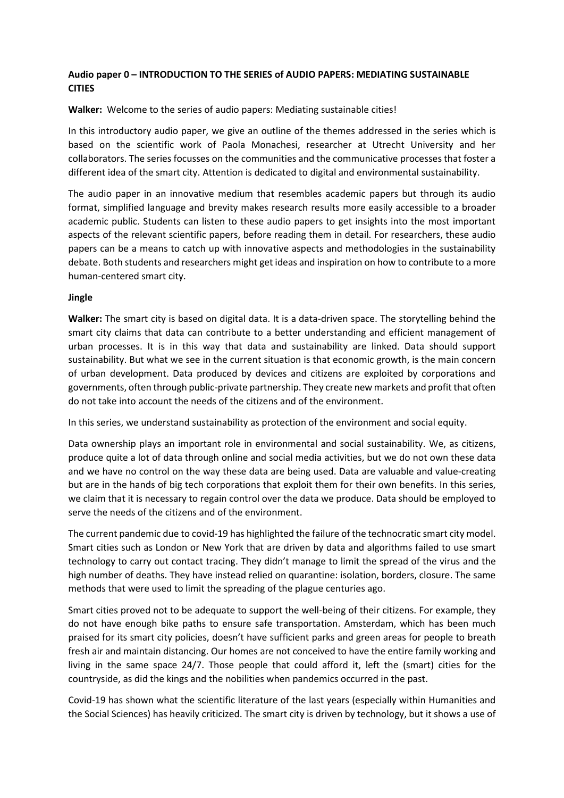# **Audio paper 0 – INTRODUCTION TO THE SERIES of AUDIO PAPERS: MEDIATING SUSTAINABLE CITIES**

**Walker:** Welcome to the series of audio papers: Mediating sustainable cities!

In this introductory audio paper, we give an outline of the themes addressed in the series which is based on the scientific work of Paola Monachesi, researcher at Utrecht University and her collaborators. The series focusses on the communities and the communicative processes that foster a different idea of the smart city. Attention is dedicated to digital and environmental sustainability.

The audio paper in an innovative medium that resembles academic papers but through its audio format, simplified language and brevity makes research results more easily accessible to a broader academic public. Students can listen to these audio papers to get insights into the most important aspects of the relevant scientific papers, before reading them in detail. For researchers, these audio papers can be a means to catch up with innovative aspects and methodologies in the sustainability debate. Both students and researchers might get ideas and inspiration on how to contribute to a more human-centered smart city.

#### **Jingle**

**Walker:** The smart city is based on digital data. It is a data-driven space. The storytelling behind the smart city claims that data can contribute to a better understanding and efficient management of urban processes. It is in this way that data and sustainability are linked. Data should support sustainability. But what we see in the current situation is that economic growth, is the main concern of urban development. Data produced by devices and citizens are exploited by corporations and governments, often through public-private partnership. They create new markets and profit that often do not take into account the needs of the citizens and of the environment.

In this series, we understand sustainability as protection of the environment and social equity.

Data ownership plays an important role in environmental and social sustainability. We, as citizens, produce quite a lot of data through online and social media activities, but we do not own these data and we have no control on the way these data are being used. Data are valuable and value-creating but are in the hands of big tech corporations that exploit them for their own benefits. In this series, we claim that it is necessary to regain control over the data we produce. Data should be employed to serve the needs of the citizens and of the environment.

The current pandemic due to covid-19 has highlighted the failure of the technocratic smart city model. Smart cities such as London or New York that are driven by data and algorithms failed to use smart technology to carry out contact tracing. They didn't manage to limit the spread of the virus and the high number of deaths. They have instead relied on quarantine: isolation, borders, closure. The same methods that were used to limit the spreading of the plague centuries ago.

Smart cities proved not to be adequate to support the well-being of their citizens. For example, they do not have enough bike paths to ensure safe transportation. Amsterdam, which has been much praised for its smart city policies, doesn't have sufficient parks and green areas for people to breath fresh air and maintain distancing. Our homes are not conceived to have the entire family working and living in the same space 24/7. Those people that could afford it, left the (smart) cities for the countryside, as did the kings and the nobilities when pandemics occurred in the past.

Covid-19 has shown what the scientific literature of the last years (especially within Humanities and the Social Sciences) has heavily criticized. The smart city is driven by technology, but it shows a use of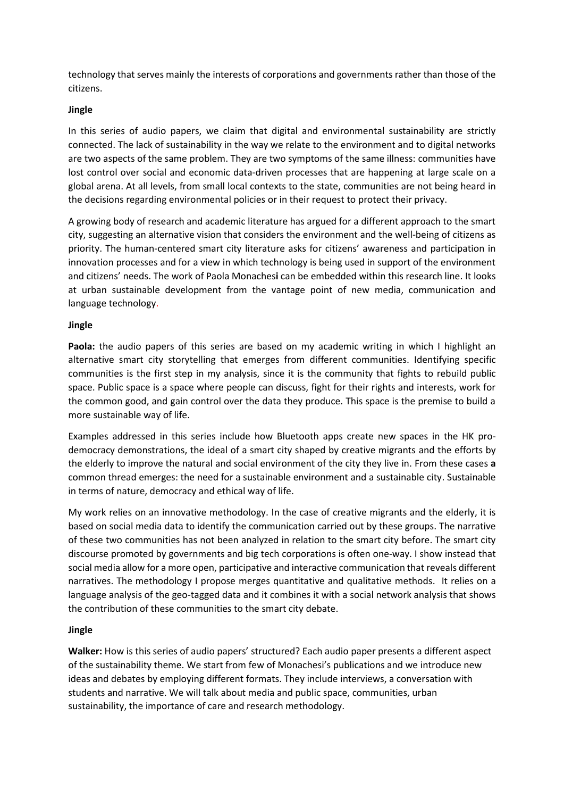technology that serves mainly the interests of corporations and governments rather than those of the citizens.

#### **Jingle**

In this series of audio papers, we claim that digital and environmental sustainability are strictly connected. The lack of sustainability in the way we relate to the environment and to digital networks are two aspects of the same problem. They are two symptoms of the same illness: communities have lost control over social and economic data-driven processes that are happening at large scale on a global arena. At all levels, from small local contexts to the state, communities are not being heard in the decisions regarding environmental policies or in their request to protect their privacy.

A growing body of research and academic literature has argued for a different approach to the smart city, suggesting an alternative vision that considers the environment and the well-being of citizens as priority. The human-centered smart city literature asks for citizens' awareness and participation in innovation processes and for a view in which technology is being used in support of the environment and citizens' needs. The work of Paola Monaches**i** can be embedded within this research line. It looks at urban sustainable development from the vantage point of new media, communication and language technology.

### **Jingle**

**Paola:** the audio papers of this series are based on my academic writing in which I highlight an alternative smart city storytelling that emerges from different communities. Identifying specific communities is the first step in my analysis, since it is the community that fights to rebuild public space. Public space is a space where people can discuss, fight for their rights and interests, work for the common good, and gain control over the data they produce. This space is the premise to build a more sustainable way of life.

Examples addressed in this series include how Bluetooth apps create new spaces in the HK prodemocracy demonstrations, the ideal of a smart city shaped by creative migrants and the efforts by the elderly to improve the natural and social environment of the city they live in. From these cases **a**  common thread emerges: the need for a sustainable environment and a sustainable city. Sustainable in terms of nature, democracy and ethical way of life.

My work relies on an innovative methodology. In the case of creative migrants and the elderly, it is based on social media data to identify the communication carried out by these groups. The narrative of these two communities has not been analyzed in relation to the smart city before. The smart city discourse promoted by governments and big tech corporations is often one-way. I show instead that social media allow for a more open, participative and interactive communication that reveals different narratives. The methodology I propose merges quantitative and qualitative methods. It relies on a language analysis of the geo-tagged data and it combines it with a social network analysis that shows the contribution of these communities to the smart city debate.

# **Jingle**

**Walker:** How is this series of audio papers' structured? Each audio paper presents a different aspect of the sustainability theme. We start from few of Monachesi's publications and we introduce new ideas and debates by employing different formats. They include interviews, a conversation with students and narrative. We will talk about media and public space, communities, urban sustainability, the importance of care and research methodology.